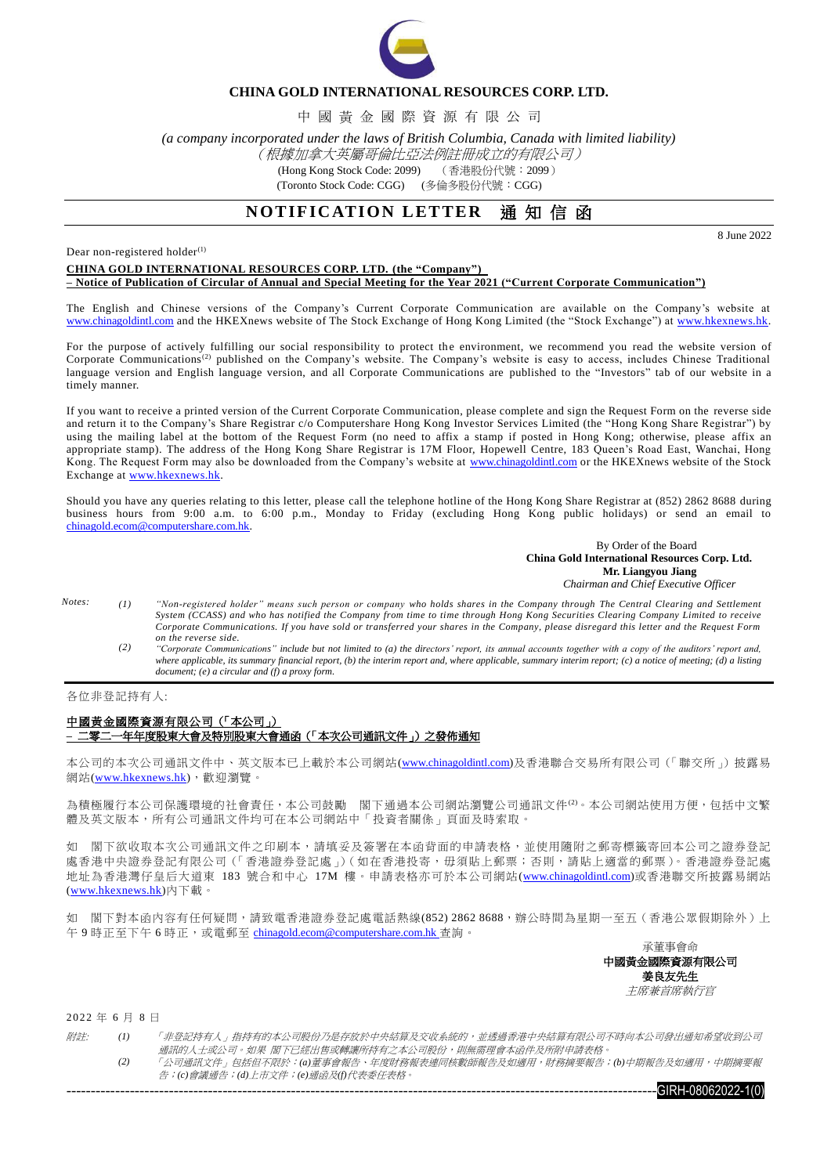

## **CHINA GOLD INTERNATIONAL RESOURCES CORP. LTD.**

中 國 黃 金 國 際 資 源 有 限 公 司

*(a company incorporated under the laws of British Columbia, Canada with limited liability)*

### (根據加拿大英屬哥倫比亞法例註冊成立的有限公司)

(Hong Kong Stock Code: 2099) (香港股份代號:2099)

(Toronto Stock Code: CGG) (多倫多股份代號:CGG)

# **NOTIFICATION LETTER** 通知信函

8 June 2022

Dear non-registered holder $^{(1)}$ 

#### **CHINA GOLD INTERNATIONAL RESOURCES CORP. LTD. (the "Company")**

# **– Notice of Publication of Circular of Annual and Special Meeting for the Year 2021 ("Current Corporate Communication")**

The English and Chinese versions of the Company's Current Corporate Communication are available on the Company's website at [www.chinagoldintl.com](http://www.chinagoldintl.com/) and the HKEXnews website of The Stock Exchange of Hong Kong Limited (the "Stock Exchange") at [www.hkexnews.hk.](http://www.hkexnews.hk/index.htm)

For the purpose of actively fulfilling our social responsibility to protect the environment, we recommend you read the website version of Corporate Communications<sup>(2)</sup> published on the Company's website. The Company's website is easy to access, includes Chinese Traditional language version and English language version, and all Corporate Communications are published to the "Investors" tab of our website in a timely manner.

If you want to receive a printed version of the Current Corporate Communication, please complete and sign the Request Form on the reverse side and return it to the Company's Share Registrar c/o Computershare Hong Kong Investor Services Limited (the "Hong Kong Share Registrar") by using the mailing label at the bottom of the Request Form (no need to affix a stamp if posted in Hong Kong; otherwise, please affix an appropriate stamp). The address of the Hong Kong Share Registrar is 17M Floor, Hopewell Centre, 183 Queen's Road East, Wanchai, Hong Kong. The Request Form may also be downloaded from the Company's website at [www.chinagoldintl.com](http://www.chinagoldintl.com/) or the HKEXnews website of the Stock Exchange at [www.hkexnews.hk.](http://www.hkexnews.hk/index.htm)

Should you have any queries relating to this letter, please call the telephone hotline of the Hong Kong Share Registrar at (852) 2862 8688 during business hours from 9:00 a.m. to 6:00 p.m., Monday to Friday (excluding Hong Kong public holidays) or send an email to [chinagold.ecom@computershare.com.hk.](mailto:chinagold.ecom@computershare.com.hk)

#### By Order of the Board **China Gold International Resources Corp. Ltd. Mr. Liangyou Jiang** *Chairman and Chief Executive Officer*

- 
- *Notes: (1) "Non-registered holder" means such person or company who holds shares in the Company through The Central Clearing and Settlement System (CCASS) and who has notified the Company from time to time through Hong Kong Securities Clearing Company Limited to receive Corporate Communications. If you have sold or transferred your shares in the Company, please disregard this letter and the Request Form on the reverse side.*
	- *(2) "Corporate Communications" include but not limited to (a) the directors' report, its annual accounts together with a copy of the auditors' report and, where applicable, its summary financial report, (b) the interim report and, where applicable, summary interim report; (c) a notice of meeting; (d) a listing document; (e) a circular and (f) a proxy form.*

#### 各位非登記持有人:

#### 中國黃金國際資源有限公司(「本公司」) **–** 二零二一年年度股東大會及特別股東大會通函(「本次公司通訊文件」)之發佈通知

本公司的本次公司通訊文件中、英文版本已上載於本公司網站[\(www.chinagoldintl.com\)](http://www.chinagoldintl.com/)及香港聯合交易所有限公司(「聯交所」)披露易 網站[\(www.hkexnews.hk\)](http://www.hkexnews.hk/index.htm),歡迎瀏覽。

為積極履行本公司保護環境的社會責任,本公司鼓勵 閣下通過本公司網站瀏覽公司通訊文件(2)。本公司網站使用方便,包括中文繁 體及英文版本,所有公司通訊文件均可在本公司網站中「投資者關係」頁面及時索取。

如 閣下欲收取本次公司通訊文件之印刷本,請填妥及簽署在本函背面的申請表格,並使用隨附之郵寄標籤寄回本公司之證券登記 處香港中央證券登記有限公司(「香港證券登記處」)(如在香港投寄,毋須貼上郵票;否則,請貼上適當的郵票)。香港證券登記處 地址為香港灣仔皇后大道東 183 號合和中心 17M 樓。申請表格亦可於本公司網站[\(www.chinagoldintl.com\)](http://www.chinagoldintl.com/)或香港聯交所披露易網站 [\(www.hkexnews.hk\)](http://www.hkexnews.hk/index.htm)內下載。

如 閣下對本函內容有任何疑問,請致電香港證券登記處電話熱線(852) 2862 8688,辦公時間為星期一至五(香港公眾假期除外)上 午9時正至下午6時正,或電郵至 [chinagold.ecom@computershare.com.hk](mailto:chinagold.ecom@computershare.com.hk) 查詢。

> 承董事會命 中國黃金國際資源有限公司 姜良友先生 主席兼首席執行官

2 0 22 年 6 月 8 日

附註: *(1)* 「非登記持有人」指持有的本公司股份乃是存放於中央結算及交收系統的,並透過香港中央結算有限公司不時向本公司發出通知希望收到公司 通訊的人士或公司。如果 閣下已經出售或轉讓所持有之本公司股份,則無需理會本函件及所附申請表格。

*(2)* 「公司通訊文件」包括但不限於:*(a)*董事會報告、年度財務報表連同核數師報告及如適用,財務摘要報告;*(b)*中期報告及如適用,中期摘要報 告;*(c)*會議通告;*(d)*上市文件;*(e)*通函及*(f)*代表委任表格。

 $-$ GIRH-08062022-1(0)